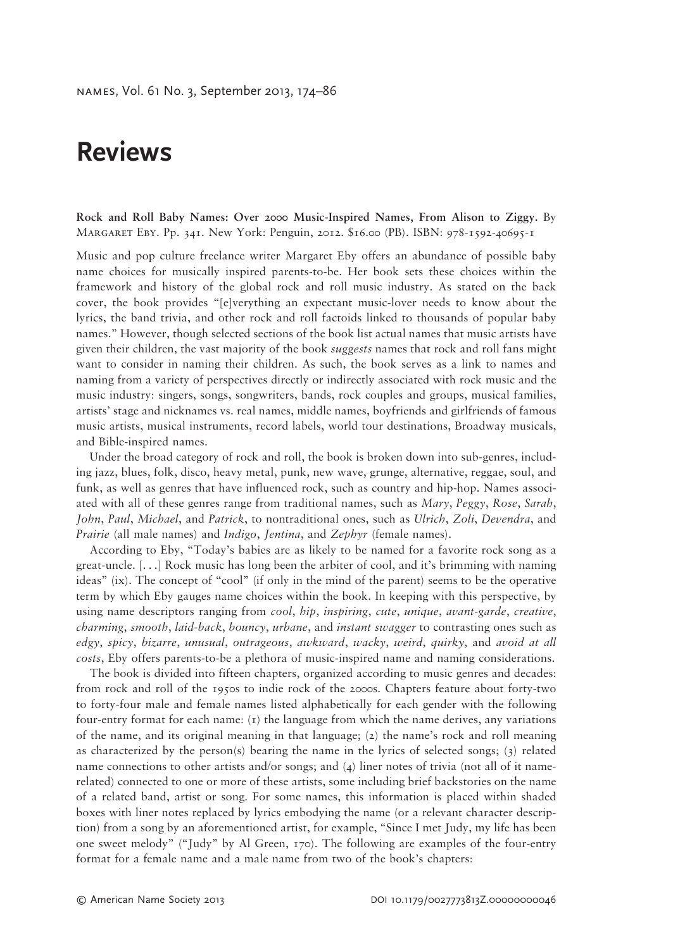## **Reviews**

**Rock and Roll Baby Names: Over 2000 Music-Inspired Names, From Alison to Ziggy.** By Margaret Eby. Pp. 341. New York: Penguin, 2012. \$16.00 (PB). ISBN: 978-1592-40695-1

Music and pop culture freelance writer Margaret Eby offers an abundance of possible baby name choices for musically inspired parents-to-be. Her book sets these choices within the framework and history of the global rock and roll music industry. As stated on the back cover, the book provides "[e]verything an expectant music-lover needs to know about the lyrics, the band trivia, and other rock and roll factoids linked to thousands of popular baby names." However, though selected sections of the book list actual names that music artists have given their children, the vast majority of the book *suggests* names that rock and roll fans might want to consider in naming their children. As such, the book serves as a link to names and naming from a variety of perspectives directly or indirectly associated with rock music and the music industry: singers, songs, songwriters, bands, rock couples and groups, musical families, artists' stage and nicknames vs. real names, middle names, boyfriends and girlfriends of famous music artists, musical instruments, record labels, world tour destinations, Broadway musicals, and Bible-inspired names.

Under the broad category of rock and roll, the book is broken down into sub-genres, including jazz, blues, folk, disco, heavy metal, punk, new wave, grunge, alternative, reggae, soul, and funk, as well as genres that have influenced rock, such as country and hip-hop. Names associated with all of these genres range from traditional names, such as *Mary*, *Peggy*, *Rose*, *Sarah*, *John*, *Paul*, *Michael*, and *Patrick*, to nontraditional ones, such as *Ulrich*, *Zoli*, *Devendra*, and *Prairie* (all male names) and *Indigo*, *Jentina*, and *Zephyr* (female names).

According to Eby, "Today's babies are as likely to be named for a favorite rock song as a great-uncle. [. . .] Rock music has long been the arbiter of cool, and it's brimming with naming ideas" (ix). The concept of "cool" (if only in the mind of the parent) seems to be the operative term by which Eby gauges name choices within the book. In keeping with this perspective, by using name descriptors ranging from *cool*, *hip*, *inspiring*, *cute*, *unique*, *avant-garde*, *creative*, *charming*, *smooth*, *laid-back*, *bouncy*, *urbane*, and *instant swagger* to contrasting ones such as *edgy*, *spicy*, *bizarre*, *unusual*, *outrageous*, *awkward*, *wacky*, *weird*, *quirky*, and *avoid at all costs*, Eby offers parents-to-be a plethora of music-inspired name and naming considerations.

The book is divided into fifteen chapters, organized according to music genres and decades: from rock and roll of the 1950s to indie rock of the 2000s. Chapters feature about forty-two to forty-four male and female names listed alphabetically for each gender with the following four-entry format for each name:  $(i)$  the language from which the name derives, any variations of the name, and its original meaning in that language; (2) the name's rock and roll meaning as characterized by the person(s) bearing the name in the lyrics of selected songs; (3) related name connections to other artists and/or songs; and  $(4)$  liner notes of trivia (not all of it namerelated) connected to one or more of these artists, some including brief backstories on the name of a related band, artist or song. For some names, this information is placed within shaded boxes with liner notes replaced by lyrics embodying the name (or a relevant character description) from a song by an aforementioned artist, for example, "Since I met Judy, my life has been one sweet melody" ("Judy" by Al Green, 170). The following are examples of the four-entry format for a female name and a male name from two of the book's chapters: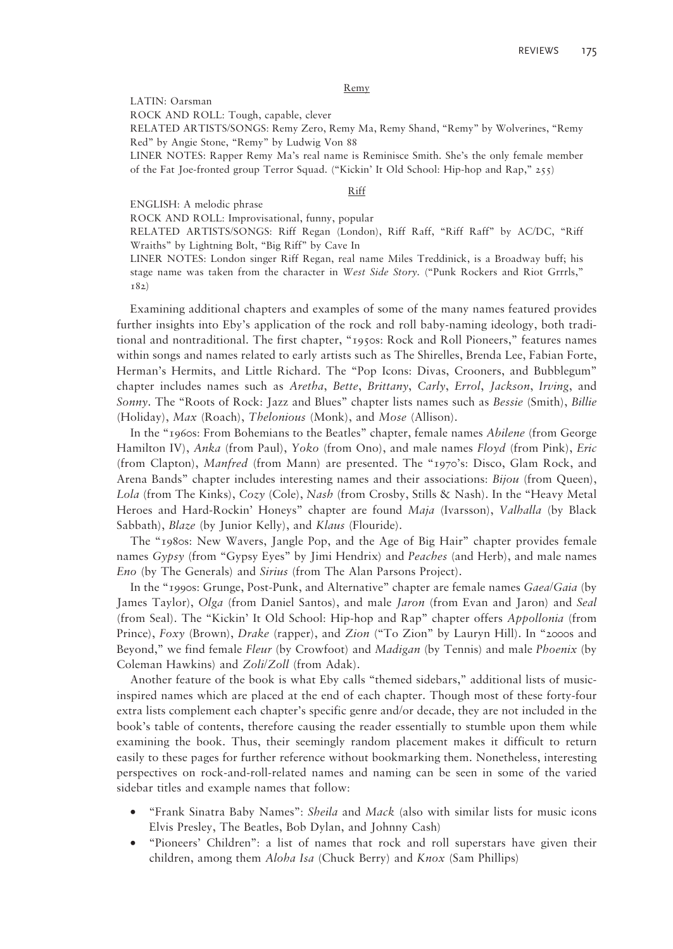## Remy

LATIN: Oarsman

ROCK AND ROLL: Tough, capable, clever

RELATED ARTISTS/SONGS: Remy Zero, Remy Ma, Remy Shand, "Remy" by Wolverines, "Remy Red" by Angie Stone, "Remy" by Ludwig Von 88

LINER NOTES: Rapper Remy Ma's real name is Reminisce Smith. She's the only female member of the Fat Joe-fronted group Terror Squad. ("Kickin' It Old School: Hip-hop and Rap," 255)

## Riff

## ENGLISH: A melodic phrase

ROCK AND ROLL: Improvisational, funny, popular

RELATED ARTISTS/SONGS: Riff Regan (London), Riff Raff, "Riff Raff" by AC/DC, "Riff Wraiths" by Lightning Bolt, "Big Riff" by Cave In

LINER NOTES: London singer Riff Regan, real name Miles Treddinick, is a Broadway buff; his stage name was taken from the character in *West Side Story*. ("Punk Rockers and Riot Grrrls," 182)

Examining additional chapters and examples of some of the many names featured provides further insights into Eby's application of the rock and roll baby-naming ideology, both traditional and nontraditional. The first chapter, "1950s: Rock and Roll Pioneers," features names within songs and names related to early artists such as The Shirelles, Brenda Lee, Fabian Forte, Herman's Hermits, and Little Richard. The "Pop Icons: Divas, Crooners, and Bubblegum" chapter includes names such as *Aretha*, *Bette*, *Brittany*, *Carly*, *Errol*, *Jackson*, *Irving*, and *Sonny*. The "Roots of Rock: Jazz and Blues" chapter lists names such as *Bessie* (Smith), *Billie*  (Holiday), *Max* (Roach), *Thelonious* (Monk), and *Mose* (Allison).

In the "1960s: From Bohemians to the Beatles" chapter, female names *Abilene* (from George Hamilton IV), *Anka* (from Paul), *Yoko* (from Ono), and male names *Floyd* (from Pink), *Eric* (from Clapton), *Manfred* (from Mann) are presented. The "1970's: Disco, Glam Rock, and Arena Bands" chapter includes interesting names and their associations: *Bijou* (from Queen), *Lola* (from The Kinks), *Cozy* (Cole), *Nash* (from Crosby, Stills & Nash). In the "Heavy Metal Heroes and Hard-Rockin' Honeys" chapter are found *Maja* (Ivarsson), *Valhalla* (by Black Sabbath), *Blaze* (by Junior Kelly), and *Klaus* (Flouride).

The "1980s: New Wavers, Jangle Pop, and the Age of Big Hair" chapter provides female names *Gypsy* (from "Gypsy Eyes" by Jimi Hendrix) and *Peaches* (and Herb), and male names *Eno* (by The Generals) and *Sirius* (from The Alan Parsons Project).

In the "1990s: Grunge, Post-Punk, and Alternative" chapter are female names *Gaea/Gaia* (by James Taylor), *Olga* (from Daniel Santos), and male *Jaron* (from Evan and Jaron) and *Seal* (from Seal). The "Kickin' It Old School: Hip-hop and Rap" chapter offers *Appollonia* (from Prince), *Foxy* (Brown), *Drake* (rapper), and *Zion* ("To Zion" by Lauryn Hill). In "2000s and Beyond," we find female *Fleur* (by Crowfoot) and *Madigan* (by Tennis) and male *Phoenix* (by Coleman Hawkins) and *Zoli/Zoll* (from Adak).

Another feature of the book is what Eby calls "themed sidebars," additional lists of musicinspired names which are placed at the end of each chapter. Though most of these forty-four extra lists complement each chapter's specific genre and/or decade, they are not included in the book's table of contents, therefore causing the reader essentially to stumble upon them while examining the book. Thus, their seemingly random placement makes it difficult to return easily to these pages for further reference without bookmarking them. Nonetheless, interesting perspectives on rock-and-roll-related names and naming can be seen in some of the varied sidebar titles and example names that follow:

- "Frank Sinatra Baby Names": *Sheila* and *Mack* (also with similar lists for music icons Elvis Presley, The Beatles, Bob Dylan, and Johnny Cash)
- "Pioneers' Children": a list of names that rock and roll superstars have given their children, among them *Aloha Isa* (Chuck Berry) and *Knox* (Sam Phillips)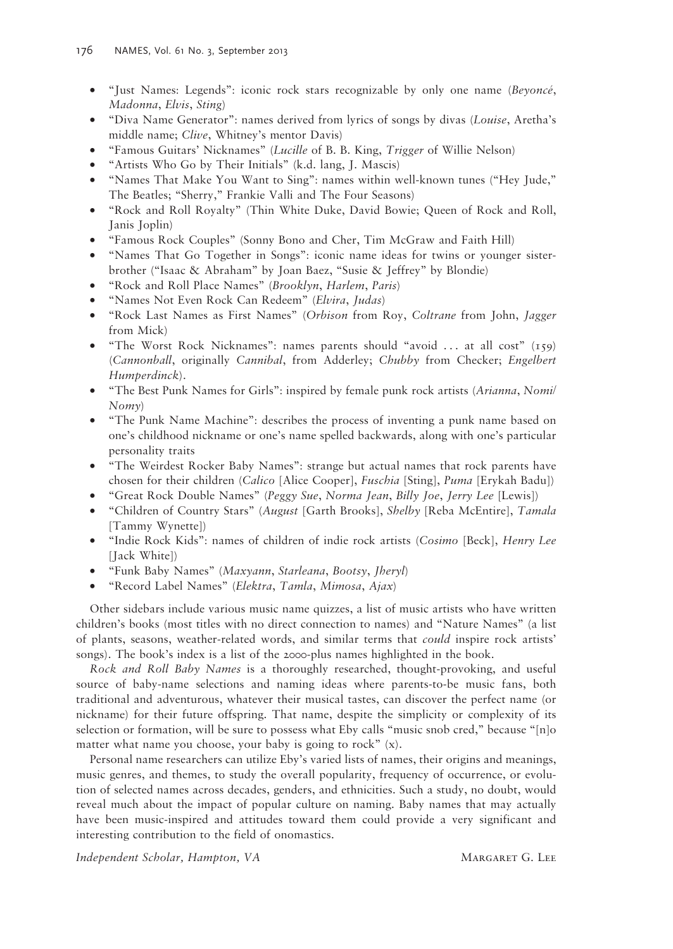- "Just Names: Legends": iconic rock stars recognizable by only one name (*Beyoncé*, *Madonna*, *Elvis*, *Sting*)
- "Diva Name Generator": names derived from lyrics of songs by divas (*Louise*, Aretha's middle name; *Clive*, Whitney's mentor Davis)
- "Famous Guitars' Nicknames" (*Lucille* of B. B. King, *Trigger* of Willie Nelson)
- "Artists Who Go by Their Initials" (k.d. lang, J. Mascis)
- "Names That Make You Want to Sing": names within well-known tunes ("Hey Jude," The Beatles; "Sherry," Frankie Valli and The Four Seasons)
- "Rock and Roll Royalty" (Thin White Duke, David Bowie; Queen of Rock and Roll, Janis Joplin)
- "Famous Rock Couples" (Sonny Bono and Cher, Tim McGraw and Faith Hill)
- "Names That Go Together in Songs": iconic name ideas for twins or younger sisterbrother ("Isaac & Abraham" by Joan Baez, "Susie & Jeffrey" by Blondie)
- "Rock and Roll Place Names" (*Brooklyn*, *Harlem*, *Paris*)
- "Names Not Even Rock Can Redeem" (*Elvira*, *Judas*)
- "Rock Last Names as First Names" (*Orbison* from Roy, *Coltrane* from John, *Jagger* from Mick)
- "The Worst Rock Nicknames": names parents should "avoid . . . at all cost" (159) (*Cannonball*, originally *Cannibal*, from Adderley; *Chubby* from Checker; *Engelbert Humperdinck*).
- "The Best Punk Names for Girls": inspired by female punk rock artists (*Arianna*, *Nomi/ Nomy*)
- "The Punk Name Machine": describes the process of inventing a punk name based on one's childhood nickname or one's name spelled backwards, along with one's particular personality traits
- "The Weirdest Rocker Baby Names": strange but actual names that rock parents have chosen for their children (*Calico* [Alice Cooper], *Fuschia* [Sting], *Puma* [Erykah Badu])
- "Great Rock Double Names" (*Peggy Sue*, *Norma Jean*, *Billy Joe*, *Jerry Lee* [Lewis])
- "Children of Country Stars" (*August* [Garth Brooks], *Shelby* [Reba McEntire], *Tamala* [Tammy Wynette])
- "Indie Rock Kids": names of children of indie rock artists (*Cosimo* [Beck], *Henry Lee* [Jack White])
- "Funk Baby Names" (*Maxyann*, *Starleana*, *Bootsy*, *Jheryl*)
- "Record Label Names" (*Elektra*, *Tamla*, *Mimosa*, *Ajax*)

Other sidebars include various music name quizzes, a list of music artists who have written children's books (most titles with no direct connection to names) and "Nature Names" (a list of plants, seasons, weather-related words, and similar terms that *could* inspire rock artists' songs). The book's index is a list of the 2000-plus names highlighted in the book.

*Rock and Roll Baby Names* is a thoroughly researched, thought-provoking, and useful source of baby-name selections and naming ideas where parents-to-be music fans, both traditional and adventurous, whatever their musical tastes, can discover the perfect name (or nickname) for their future offspring. That name, despite the simplicity or complexity of its selection or formation, will be sure to possess what Eby calls "music snob cred," because "[n]o matter what name you choose, your baby is going to rock" (x).

Personal name researchers can utilize Eby's varied lists of names, their origins and meanings, music genres, and themes, to study the overall popularity, frequency of occurrence, or evolution of selected names across decades, genders, and ethnicities. Such a study, no doubt, would reveal much about the impact of popular culture on naming. Baby names that may actually have been music-inspired and attitudes toward them could provide a very significant and interesting contribution to the field of onomastics.

*Independent Scholar, Hampton, VA* MARGARET G. LEE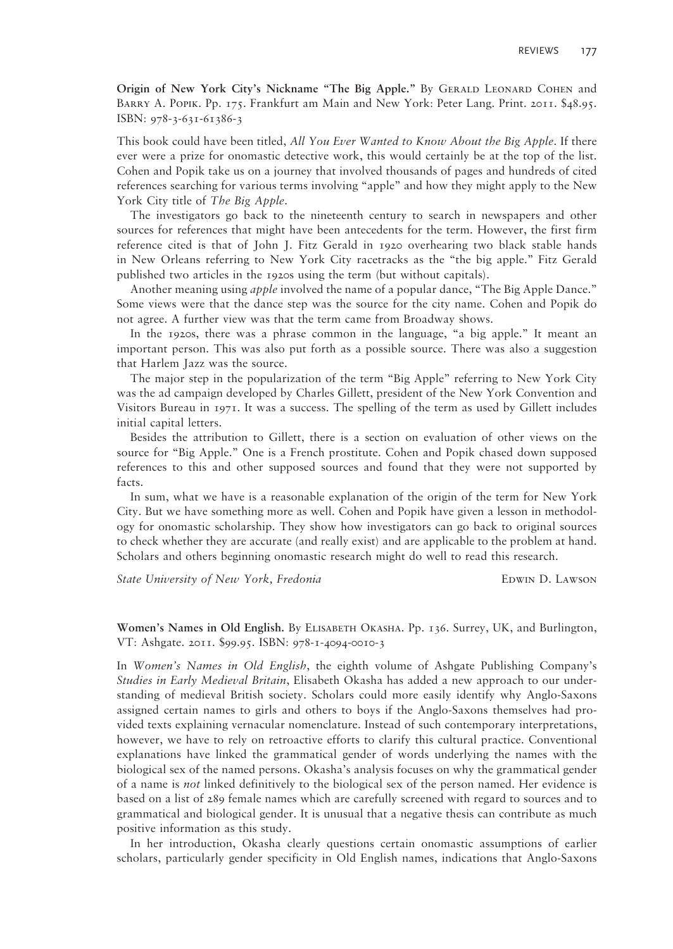**Origin of New York City's Nickname "The Big Apple."** By Gerald Leonard Cohen and Barry A. Popik. Pp. 175. Frankfurt am Main and New York: Peter Lang. Print. 2011. \$48.95. ISBN: 978-3-631-61386-3

This book could have been titled, *All You Ever Wanted to Know About the Big Apple*. If there ever were a prize for onomastic detective work, this would certainly be at the top of the list. Cohen and Popik take us on a journey that involved thousands of pages and hundreds of cited references searching for various terms involving "apple" and how they might apply to the New York City title of *The Big Apple*.

The investigators go back to the nineteenth century to search in newspapers and other sources for references that might have been antecedents for the term. However, the first firm reference cited is that of John J. Fitz Gerald in 1920 overhearing two black stable hands in New Orleans referring to New York City racetracks as the "the big apple." Fitz Gerald published two articles in the 1920s using the term (but without capitals).

Another meaning using *apple* involved the name of a popular dance, "The Big Apple Dance." Some views were that the dance step was the source for the city name. Cohen and Popik do not agree. A further view was that the term came from Broadway shows.

In the 1920s, there was a phrase common in the language, "a big apple." It meant an important person. This was also put forth as a possible source. There was also a suggestion that Harlem Jazz was the source.

The major step in the popularization of the term "Big Apple" referring to New York City was the ad campaign developed by Charles Gillett, president of the New York Convention and Visitors Bureau in 1971. It was a success. The spelling of the term as used by Gillett includes initial capital letters.

Besides the attribution to Gillett, there is a section on evaluation of other views on the source for "Big Apple." One is a French prostitute. Cohen and Popik chased down supposed references to this and other supposed sources and found that they were not supported by facts.

In sum, what we have is a reasonable explanation of the origin of the term for New York City. But we have something more as well. Cohen and Popik have given a lesson in methodology for onomastic scholarship. They show how investigators can go back to original sources to check whether they are accurate (and really exist) and are applicable to the problem at hand. Scholars and others beginning onomastic research might do well to read this research.

*State University of New York, Fredonia* **EDWIN D. LAWSON** 

**Women's Names in Old English.** By Elisabeth Okasha. Pp. 136. Surrey, UK, and Burlington, VT: Ashgate. 2011. \$99.95. ISBN: 978-1-4094-0010-3

In *Women's Names in Old English*, the eighth volume of Ashgate Publishing Company's *Studies in Early Medieval Britain*, Elisabeth Okasha has added a new approach to our understanding of medieval British society. Scholars could more easily identify why Anglo-Saxons assigned certain names to girls and others to boys if the Anglo-Saxons themselves had provided texts explaining vernacular nomenclature. Instead of such contemporary interpretations, however, we have to rely on retroactive efforts to clarify this cultural practice. Conventional explanations have linked the grammatical gender of words underlying the names with the biological sex of the named persons. Okasha's analysis focuses on why the grammatical gender of a name is *not* linked definitively to the biological sex of the person named. Her evidence is based on a list of 289 female names which are carefully screened with regard to sources and to grammatical and biological gender. It is unusual that a negative thesis can contribute as much positive information as this study.

In her introduction, Okasha clearly questions certain onomastic assumptions of earlier scholars, particularly gender specificity in Old English names, indications that Anglo-Saxons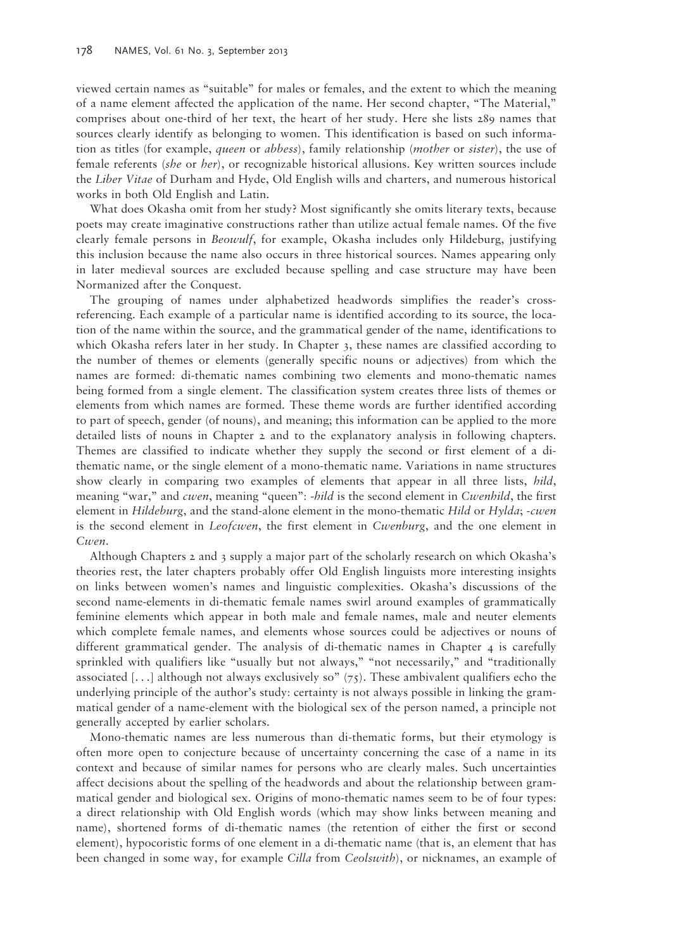viewed certain names as "suitable" for males or females, and the extent to which the meaning of a name element affected the application of the name. Her second chapter, "The Material," comprises about one-third of her text, the heart of her study. Here she lists 289 names that sources clearly identify as belonging to women. This identification is based on such information as titles (for example, *queen* or *abbess*), family relationship (*mother* or *sister*), the use of female referents (*she* or *her*), or recognizable historical allusions. Key written sources include the *Liber Vitae* of Durham and Hyde, Old English wills and charters, and numerous historical works in both Old English and Latin.

What does Okasha omit from her study? Most significantly she omits literary texts, because poets may create imaginative constructions rather than utilize actual female names. Of the five clearly female persons in *Beowulf*, for example, Okasha includes only Hildeburg, justifying this inclusion because the name also occurs in three historical sources. Names appearing only in later medieval sources are excluded because spelling and case structure may have been Normanized after the Conquest.

The grouping of names under alphabetized headwords simplifies the reader's crossreferencing. Each example of a particular name is identified according to its source, the location of the name within the source, and the grammatical gender of the name, identifications to which Okasha refers later in her study. In Chapter 3, these names are classified according to the number of themes or elements (generally specific nouns or adjectives) from which the names are formed: di-thematic names combining two elements and mono-thematic names being formed from a single element. The classification system creates three lists of themes or elements from which names are formed. These theme words are further identified according to part of speech, gender (of nouns), and meaning; this information can be applied to the more detailed lists of nouns in Chapter 2 and to the explanatory analysis in following chapters. Themes are classified to indicate whether they supply the second or first element of a dithematic name, or the single element of a mono-thematic name. Variations in name structures show clearly in comparing two examples of elements that appear in all three lists, *hild*, meaning "war," and *cwen*, meaning "queen": *-hild* is the second element in *Cwenhild*, the first element in *Hildeburg*, and the stand-alone element in the mono-thematic *Hild* or *Hylda*; *-cwen* is the second element in *Leofcwen*, the first element in *Cwenburg*, and the one element in *Cwen.*

Although Chapters 2 and 3 supply a major part of the scholarly research on which Okasha's theories rest, the later chapters probably offer Old English linguists more interesting insights on links between women's names and linguistic complexities. Okasha's discussions of the second name-elements in di-thematic female names swirl around examples of grammatically feminine elements which appear in both male and female names, male and neuter elements which complete female names, and elements whose sources could be adjectives or nouns of different grammatical gender. The analysis of di-thematic names in Chapter 4 is carefully sprinkled with qualifiers like "usually but not always," "not necessarily," and "traditionally associated [...] although not always exclusively so"  $(75)$ . These ambivalent qualifiers echo the underlying principle of the author's study: certainty is not always possible in linking the grammatical gender of a name-element with the biological sex of the person named, a principle not generally accepted by earlier scholars.

Mono-thematic names are less numerous than di-thematic forms, but their etymology is often more open to conjecture because of uncertainty concerning the case of a name in its context and because of similar names for persons who are clearly males. Such uncertainties affect decisions about the spelling of the headwords and about the relationship between grammatical gender and biological sex. Origins of mono-thematic names seem to be of four types: a direct relationship with Old English words (which may show links between meaning and name), shortened forms of di-thematic names (the retention of either the first or second element), hypocoristic forms of one element in a di-thematic name (that is, an element that has been changed in some way, for example *Cilla* from *Ceolswith*), or nicknames, an example of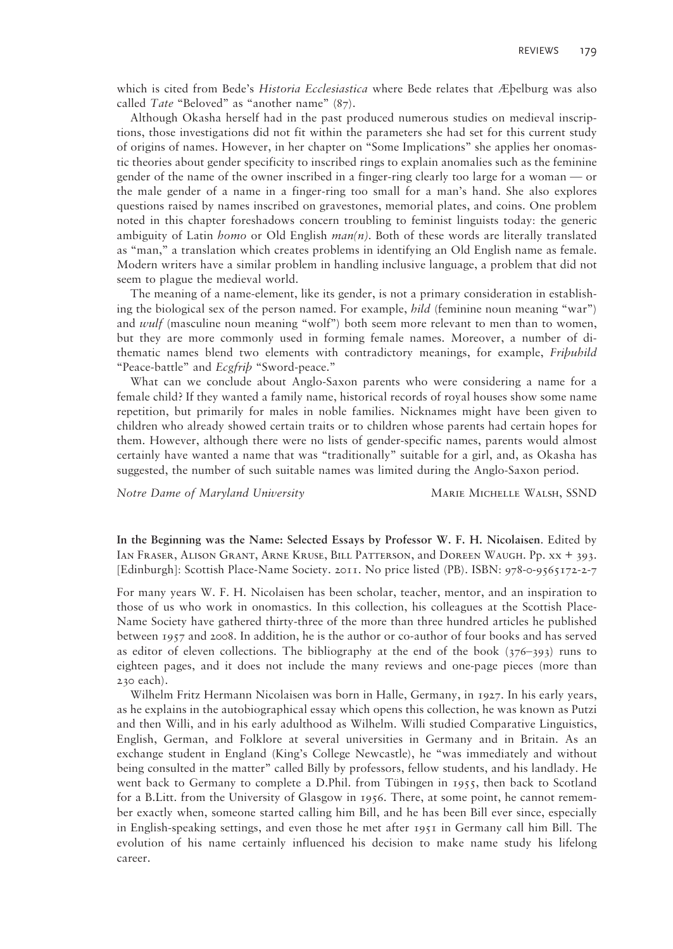which is cited from Bede's *Historia Ecclesiastica* where Bede relates that Æþelburg was also called *Tate* "Beloved" as "another name" (87).

Although Okasha herself had in the past produced numerous studies on medieval inscriptions, those investigations did not fit within the parameters she had set for this current study of origins of names. However, in her chapter on "Some Implications" she applies her onomastic theories about gender specificity to inscribed rings to explain anomalies such as the feminine gender of the name of the owner inscribed in a finger-ring clearly too large for a woman — or the male gender of a name in a finger-ring too small for a man's hand. She also explores questions raised by names inscribed on gravestones, memorial plates, and coins. One problem noted in this chapter foreshadows concern troubling to feminist linguists today: the generic ambiguity of Latin *homo* or Old English *man(n).* Both of these words are literally translated as "man," a translation which creates problems in identifying an Old English name as female. Modern writers have a similar problem in handling inclusive language, a problem that did not seem to plague the medieval world.

The meaning of a name-element, like its gender, is not a primary consideration in establishing the biological sex of the person named. For example, *hild* (feminine noun meaning "war") and *wulf* (masculine noun meaning "wolf") both seem more relevant to men than to women, but they are more commonly used in forming female names. Moreover, a number of dithematic names blend two elements with contradictory meanings, for example, *Friþuhild*  "Peace-battle" and *Ecgfriþ* "Sword-peace."

What can we conclude about Anglo-Saxon parents who were considering a name for a female child? If they wanted a family name, historical records of royal houses show some name repetition, but primarily for males in noble families. Nicknames might have been given to children who already showed certain traits or to children whose parents had certain hopes for them. However, although there were no lists of gender-specific names, parents would almost certainly have wanted a name that was "traditionally" suitable for a girl, and, as Okasha has suggested, the number of such suitable names was limited during the Anglo-Saxon period.

*Notre Dame of Maryland University* **MARIE MICHELLE WALSH, SSND** 

**In the Beginning was the Name: Selected Essays by Professor W. F. H. Nicolaisen**. Edited by Ian Fraser, Alison Grant, Arne Kruse, Bill Patterson, and Doreen Waugh. Pp. xx + 393. [Edinburgh]: Scottish Place-Name Society. 2011. No price listed (PB). ISBN: 978-0-9565172-2-7

For many years W. F. H. Nicolaisen has been scholar, teacher, mentor, and an inspiration to those of us who work in onomastics. In this collection, his colleagues at the Scottish Place-Name Society have gathered thirty-three of the more than three hundred articles he published between 1957 and 2008. In addition, he is the author or co-author of four books and has served as editor of eleven collections. The bibliography at the end of the book  $(376-393)$  runs to eighteen pages, and it does not include the many reviews and one-page pieces (more than 230 each).

Wilhelm Fritz Hermann Nicolaisen was born in Halle, Germany, in 1927. In his early years, as he explains in the autobiographical essay which opens this collection, he was known as Putzi and then Willi, and in his early adulthood as Wilhelm. Willi studied Comparative Linguistics, English, German, and Folklore at several universities in Germany and in Britain. As an exchange student in England (King's College Newcastle), he "was immediately and without being consulted in the matter" called Billy by professors, fellow students, and his landlady. He went back to Germany to complete a D.Phil. from Tübingen in 1955, then back to Scotland for a B.Litt. from the University of Glasgow in 1956. There, at some point, he cannot remember exactly when, someone started calling him Bill, and he has been Bill ever since, especially in English-speaking settings, and even those he met after 1951 in Germany call him Bill. The evolution of his name certainly influenced his decision to make name study his lifelong career.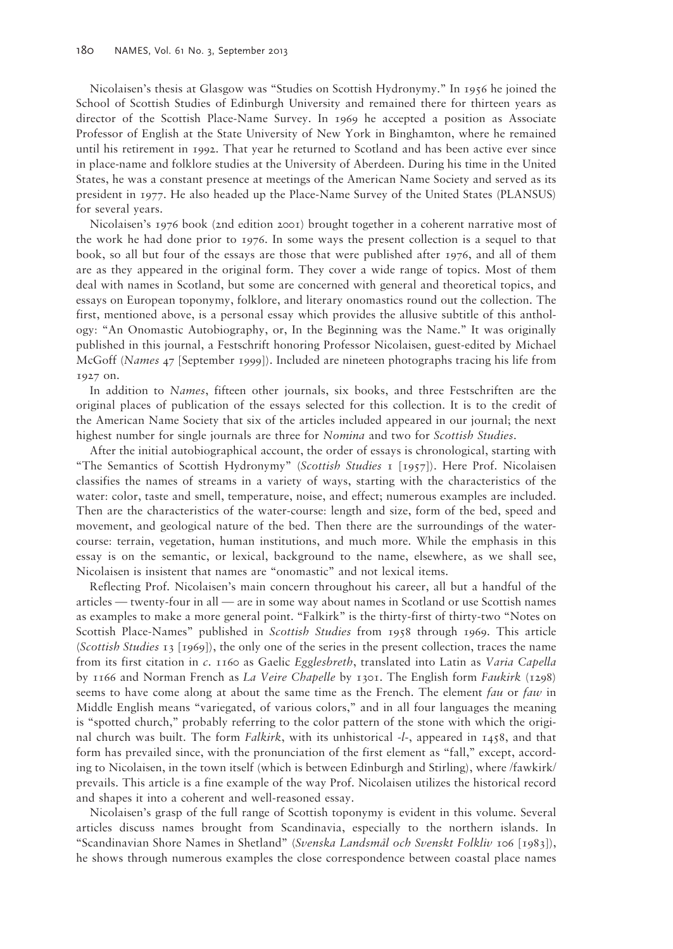Nicolaisen's thesis at Glasgow was "Studies on Scottish Hydronymy." In 1956 he joined the School of Scottish Studies of Edinburgh University and remained there for thirteen years as director of the Scottish Place-Name Survey. In 1969 he accepted a position as Associate Professor of English at the State University of New York in Binghamton, where he remained until his retirement in 1992. That year he returned to Scotland and has been active ever since in place-name and folklore studies at the University of Aberdeen. During his time in the United States, he was a constant presence at meetings of the American Name Society and served as its president in 1977. He also headed up the Place-Name Survey of the United States (PLANSUS) for several years.

Nicolaisen's 1976 book (2nd edition 2001) brought together in a coherent narrative most of the work he had done prior to 1976. In some ways the present collection is a sequel to that book, so all but four of the essays are those that were published after 1976, and all of them are as they appeared in the original form. They cover a wide range of topics. Most of them deal with names in Scotland, but some are concerned with general and theoretical topics, and essays on European toponymy, folklore, and literary onomastics round out the collection. The first, mentioned above, is a personal essay which provides the allusive subtitle of this anthology: "An Onomastic Autobiography, or, In the Beginning was the Name." It was originally published in this journal, a Festschrift honoring Professor Nicolaisen, guest-edited by Michael McGoff (*Names* 47 [September 1999]). Included are nineteen photographs tracing his life from 1927 on.

In addition to *Names*, fifteen other journals, six books, and three Festschriften are the original places of publication of the essays selected for this collection. It is to the credit of the American Name Society that six of the articles included appeared in our journal; the next highest number for single journals are three for *Nomina* and two for *Scottish Studies*.

After the initial autobiographical account, the order of essays is chronological, starting with "The Semantics of Scottish Hydronymy" (*Scottish Studies* 1 [1957]). Here Prof. Nicolaisen classifies the names of streams in a variety of ways, starting with the characteristics of the water: color, taste and smell, temperature, noise, and effect; numerous examples are included. Then are the characteristics of the water-course: length and size, form of the bed, speed and movement, and geological nature of the bed. Then there are the surroundings of the watercourse: terrain, vegetation, human institutions, and much more. While the emphasis in this essay is on the semantic, or lexical, background to the name, elsewhere, as we shall see, Nicolaisen is insistent that names are "onomastic" and not lexical items.

Reflecting Prof. Nicolaisen's main concern throughout his career, all but a handful of the articles — twenty-four in all — are in some way about names in Scotland or use Scottish names as examples to make a more general point. "Falkirk" is the thirty-first of thirty-two "Notes on Scottish Place-Names" published in *Scottish Studies* from 1958 through 1969. This article (*Scottish Studies* 13 [1969]), the only one of the series in the present collection, traces the name from its first citation in *c*. 1160 as Gaelic *Egglesbreth*, translated into Latin as *Varia Capella* by 1166 and Norman French as *La Veire Chapelle* by 1301. The English form *Faukirk* (1298) seems to have come along at about the same time as the French. The element *fau* or *faw* in Middle English means "variegated, of various colors," and in all four languages the meaning is "spotted church," probably referring to the color pattern of the stone with which the original church was built. The form *Falkirk*, with its unhistorical -*l-*, appeared in 1458, and that form has prevailed since, with the pronunciation of the first element as "fall," except, according to Nicolaisen, in the town itself (which is between Edinburgh and Stirling), where /fawkirk/ prevails. This article is a fine example of the way Prof. Nicolaisen utilizes the historical record and shapes it into a coherent and well-reasoned essay.

Nicolaisen's grasp of the full range of Scottish toponymy is evident in this volume. Several articles discuss names brought from Scandinavia, especially to the northern islands. In "Scandinavian Shore Names in Shetland" (*Svenska Landsmål och Svenskt Folkliv* 106 [1983]), he shows through numerous examples the close correspondence between coastal place names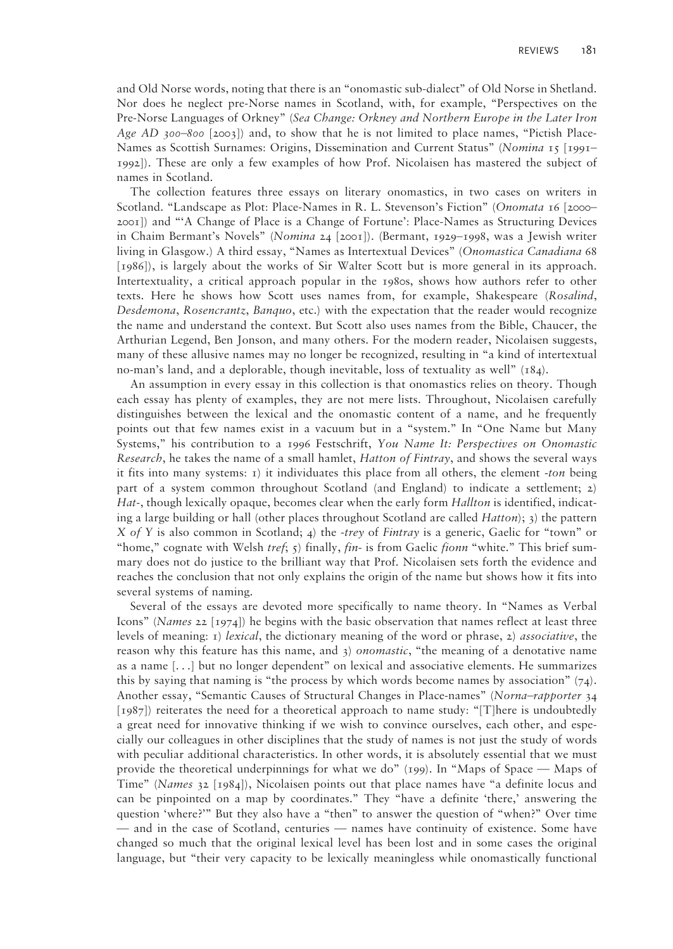and Old Norse words, noting that there is an "onomastic sub-dialect" of Old Norse in Shetland. Nor does he neglect pre-Norse names in Scotland, with, for example, "Perspectives on the Pre-Norse Languages of Orkney" (*Sea Change: Orkney and Northern Europe in the Later Iron Age AD 300–800* [2003]) and, to show that he is not limited to place names, "Pictish Place-Names as Scottish Surnames: Origins, Dissemination and Current Status" (*Nomina* 15 [1991– 1992]). These are only a few examples of how Prof. Nicolaisen has mastered the subject of names in Scotland.

The collection features three essays on literary onomastics, in two cases on writers in Scotland. "Landscape as Plot: Place-Names in R. L. Stevenson's Fiction" (*Onomata* 16 [2000– 2001]) and "'A Change of Place is a Change of Fortune': Place-Names as Structuring Devices in Chaim Bermant's Novels" (*Nomina* 24 [2001]). (Bermant, 1929–1998, was a Jewish writer living in Glasgow.) A third essay, "Names as Intertextual Devices" (*Onomastica Canadiana* 68 [1986]), is largely about the works of Sir Walter Scott but is more general in its approach. Intertextuality, a critical approach popular in the 1980s, shows how authors refer to other texts. Here he shows how Scott uses names from, for example, Shakespeare (*Rosalind*, *Desdemona*, *Rosencrantz*, *Banquo*, etc.) with the expectation that the reader would recognize the name and understand the context. But Scott also uses names from the Bible, Chaucer, the Arthurian Legend, Ben Jonson, and many others. For the modern reader, Nicolaisen suggests, many of these allusive names may no longer be recognized, resulting in "a kind of intertextual no-man's land, and a deplorable, though inevitable, loss of textuality as well" (184).

An assumption in every essay in this collection is that onomastics relies on theory. Though each essay has plenty of examples, they are not mere lists. Throughout, Nicolaisen carefully distinguishes between the lexical and the onomastic content of a name, and he frequently points out that few names exist in a vacuum but in a "system." In "One Name but Many Systems," his contribution to a 1996 Festschrift, *You Name It: Perspectives on Onomastic Research*, he takes the name of a small hamlet, *Hatton of Fintray*, and shows the several ways it fits into many systems: 1) it individuates this place from all others, the element *-ton* being part of a system common throughout Scotland (and England) to indicate a settlement; 2) *Hat-*, though lexically opaque, becomes clear when the early form *Hallton* is identified, indicating a large building or hall (other places throughout Scotland are called *Hatton*); 3) the pattern *X of Y* is also common in Scotland; 4) the *-trey* of *Fintray* is a generic, Gaelic for "town" or "home," cognate with Welsh *tref*; 5) finally, *fin-* is from Gaelic *fionn* "white." This brief summary does not do justice to the brilliant way that Prof. Nicolaisen sets forth the evidence and reaches the conclusion that not only explains the origin of the name but shows how it fits into several systems of naming.

Several of the essays are devoted more specifically to name theory. In "Names as Verbal Icons" (*Names* 22 [1974]) he begins with the basic observation that names reflect at least three levels of meaning: 1) *lexical*, the dictionary meaning of the word or phrase, 2) *associative*, the reason why this feature has this name, and 3) *onomastic*, "the meaning of a denotative name as a name [. . .] but no longer dependent" on lexical and associative elements. He summarizes this by saying that naming is "the process by which words become names by association"  $(74)$ . Another essay, "Semantic Causes of Structural Changes in Place-names" (*Norna–rapporter* 34 [1987]) reiterates the need for a theoretical approach to name study: "[T]here is undoubtedly a great need for innovative thinking if we wish to convince ourselves, each other, and especially our colleagues in other disciplines that the study of names is not just the study of words with peculiar additional characteristics. In other words, it is absolutely essential that we must provide the theoretical underpinnings for what we do" (199). In "Maps of Space — Maps of Time" (*Names* 32 [1984]), Nicolaisen points out that place names have "a definite locus and can be pinpointed on a map by coordinates." They "have a definite 'there,' answering the question 'where?'" But they also have a "then" to answer the question of "when?" Over time — and in the case of Scotland, centuries — names have continuity of existence. Some have changed so much that the original lexical level has been lost and in some cases the original language, but "their very capacity to be lexically meaningless while onomastically functional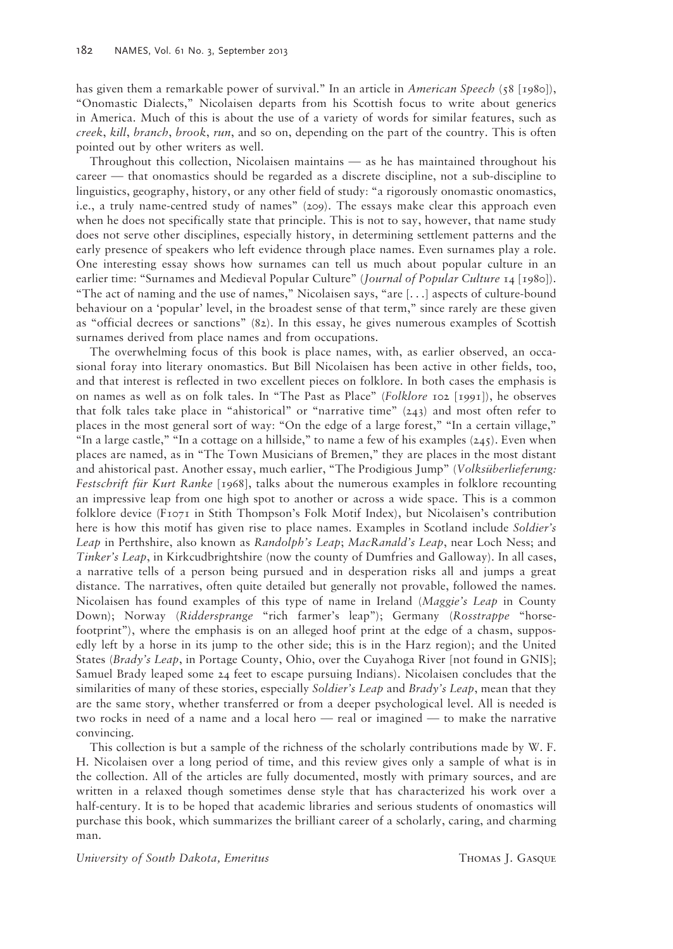has given them a remarkable power of survival." In an article in *American Speech* (58 [1980]), "Onomastic Dialects," Nicolaisen departs from his Scottish focus to write about generics in America. Much of this is about the use of a variety of words for similar features, such as *creek*, *kill*, *branch*, *brook*, *run*, and so on, depending on the part of the country. This is often pointed out by other writers as well.

Throughout this collection, Nicolaisen maintains — as he has maintained throughout his career — that onomastics should be regarded as a discrete discipline, not a sub-discipline to linguistics, geography, history, or any other field of study: "a rigorously onomastic onomastics, i.e., a truly name-centred study of names" (209). The essays make clear this approach even when he does not specifically state that principle. This is not to say, however, that name study does not serve other disciplines, especially history, in determining settlement patterns and the early presence of speakers who left evidence through place names. Even surnames play a role. One interesting essay shows how surnames can tell us much about popular culture in an earlier time: "Surnames and Medieval Popular Culture" (*Journal of Popular Culture* 14 [1980]). "The act of naming and the use of names," Nicolaisen says, "are [. . .] aspects of culture-bound behaviour on a 'popular' level, in the broadest sense of that term," since rarely are these given as "official decrees or sanctions" (82). In this essay, he gives numerous examples of Scottish surnames derived from place names and from occupations.

The overwhelming focus of this book is place names, with, as earlier observed, an occasional foray into literary onomastics. But Bill Nicolaisen has been active in other fields, too, and that interest is reflected in two excellent pieces on folklore. In both cases the emphasis is on names as well as on folk tales. In "The Past as Place" (*Folklore* 102 [1991]), he observes that folk tales take place in "ahistorical" or "narrative time" (243) and most often refer to places in the most general sort of way: "On the edge of a large forest," "In a certain village," "In a large castle," "In a cottage on a hillside," to name a few of his examples  $(245)$ . Even when places are named, as in "The Town Musicians of Bremen," they are places in the most distant and ahistorical past. Another essay, much earlier, "The Prodigious Jump" (*Volksüberlieferung: Festschrift für Kurt Ranke* [1968], talks about the numerous examples in folklore recounting an impressive leap from one high spot to another or across a wide space. This is a common folklore device (F1071 in Stith Thompson's Folk Motif Index), but Nicolaisen's contribution here is how this motif has given rise to place names. Examples in Scotland include *Soldier's Leap* in Perthshire, also known as *Randolph's Leap*; *MacRanald's Leap*, near Loch Ness; and *Tinker's Leap*, in Kirkcudbrightshire (now the county of Dumfries and Galloway). In all cases, a narrative tells of a person being pursued and in desperation risks all and jumps a great distance. The narratives, often quite detailed but generally not provable, followed the names. Nicolaisen has found examples of this type of name in Ireland (*Maggie's Leap* in County Down); Norway (*Riddersprange* "rich farmer's leap"); Germany (*Rosstrappe* "horsefootprint"), where the emphasis is on an alleged hoof print at the edge of a chasm, supposedly left by a horse in its jump to the other side; this is in the Harz region); and the United States (*Brady's Leap*, in Portage County, Ohio, over the Cuyahoga River [not found in GNIS]; Samuel Brady leaped some 24 feet to escape pursuing Indians). Nicolaisen concludes that the similarities of many of these stories, especially *Soldier's Leap* and *Brady's Leap*, mean that they are the same story, whether transferred or from a deeper psychological level. All is needed is two rocks in need of a name and a local hero — real or imagined — to make the narrative convincing.

This collection is but a sample of the richness of the scholarly contributions made by W. F. H. Nicolaisen over a long period of time, and this review gives only a sample of what is in the collection. All of the articles are fully documented, mostly with primary sources, and are written in a relaxed though sometimes dense style that has characterized his work over a half-century. It is to be hoped that academic libraries and serious students of onomastics will purchase this book, which summarizes the brilliant career of a scholarly, caring, and charming man.

*University of South Dakota, Emeritus* Thomas J. Gasque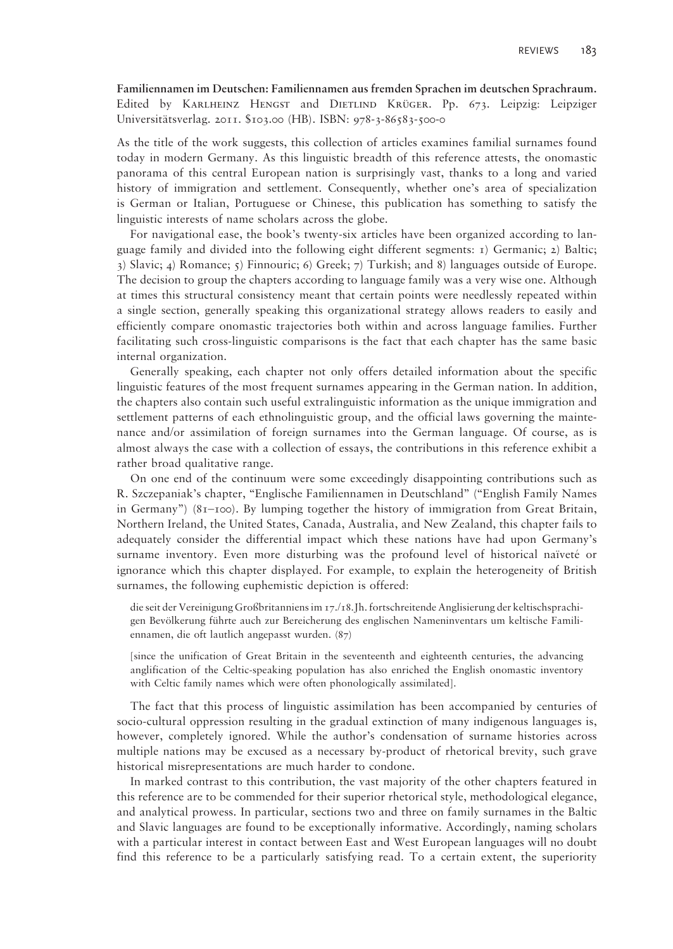**Familiennamen im Deutschen: Familiennamen aus fremden Sprachen im deutschen Sprachraum.**  Edited by Karlheinz Hengst and Dietlind Krüger. Pp. 673. Leipzig: Leipziger Universitätsverlag. 2011. \$103.00 (HB). ISBN: 978-3-86583-500-0

As the title of the work suggests, this collection of articles examines familial surnames found today in modern Germany. As this linguistic breadth of this reference attests, the onomastic panorama of this central European nation is surprisingly vast, thanks to a long and varied history of immigration and settlement. Consequently, whether one's area of specialization is German or Italian, Portuguese or Chinese, this publication has something to satisfy the linguistic interests of name scholars across the globe.

For navigational ease, the book's twenty-six articles have been organized according to language family and divided into the following eight different segments: 1) Germanic; 2) Baltic; 3) Slavic; 4) Romance; 5) Finnouric; 6) Greek; 7) Turkish; and 8) languages outside of Europe. The decision to group the chapters according to language family was a very wise one. Although at times this structural consistency meant that certain points were needlessly repeated within a single section, generally speaking this organizational strategy allows readers to easily and efficiently compare onomastic trajectories both within and across language families. Further facilitating such cross-linguistic comparisons is the fact that each chapter has the same basic internal organization.

Generally speaking, each chapter not only offers detailed information about the specific linguistic features of the most frequent surnames appearing in the German nation. In addition, the chapters also contain such useful extralinguistic information as the unique immigration and settlement patterns of each ethnolinguistic group, and the official laws governing the maintenance and/or assimilation of foreign surnames into the German language. Of course, as is almost always the case with a collection of essays, the contributions in this reference exhibit a rather broad qualitative range.

On one end of the continuum were some exceedingly disappointing contributions such as R. Szczepaniak's chapter, "Englische Familiennamen in Deutschland" ("English Family Names in Germany") (81–100). By lumping together the history of immigration from Great Britain, Northern Ireland, the United States, Canada, Australia, and New Zealand, this chapter fails to adequately consider the differential impact which these nations have had upon Germany's surname inventory. Even more disturbing was the profound level of historical naïveté or ignorance which this chapter displayed. For example, to explain the heterogeneity of British surnames, the following euphemistic depiction is offered:

die seit der Vereinigung Großbritanniens im 17./18.Jh. fortschreitende Anglisierung der keltischsprachigen Bevölkerung führte auch zur Bereicherung des englischen Nameninventars um keltische Familiennamen, die oft lautlich angepasst wurden. (87)

[since the unification of Great Britain in the seventeenth and eighteenth centuries, the advancing anglification of the Celtic-speaking population has also enriched the English onomastic inventory with Celtic family names which were often phonologically assimilated].

The fact that this process of linguistic assimilation has been accompanied by centuries of socio-cultural oppression resulting in the gradual extinction of many indigenous languages is, however, completely ignored. While the author's condensation of surname histories across multiple nations may be excused as a necessary by-product of rhetorical brevity, such grave historical misrepresentations are much harder to condone.

In marked contrast to this contribution, the vast majority of the other chapters featured in this reference are to be commended for their superior rhetorical style, methodological elegance, and analytical prowess. In particular, sections two and three on family surnames in the Baltic and Slavic languages are found to be exceptionally informative. Accordingly, naming scholars with a particular interest in contact between East and West European languages will no doubt find this reference to be a particularly satisfying read. To a certain extent, the superiority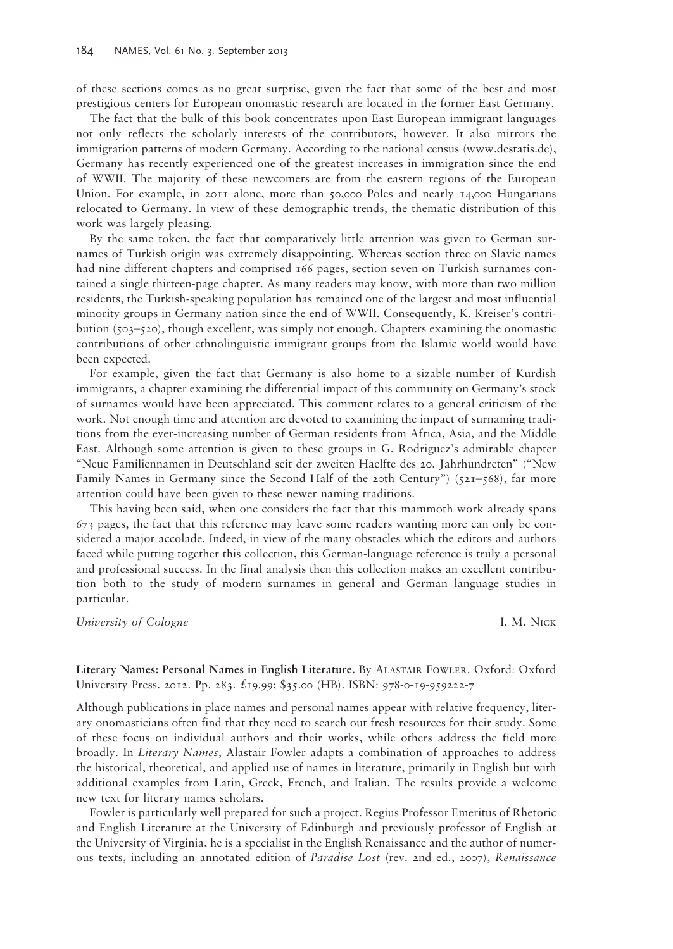of these sections comes as no great surprise, given the fact that some of the best and most prestigious centers for European onomastic research are located in the former East Germany.

The fact that the bulk of this book concentrates upon East European immigrant languages not only reflects the scholarly interests of the contributors, however. It also mirrors the immigration patterns of modern Germany. According to the national census (www.destatis.de), Germany has recently experienced one of the greatest increases in immigration since the end of WWII. The majority of these newcomers are from the eastern regions of the European Union. For example, in 2011 alone, more than 50,000 Poles and nearly 14,000 Hungarians relocated to Germany. In view of these demographic trends, the thematic distribution of this work was largely pleasing.

By the same token, the fact that comparatively little attention was given to German surnames of Turkish origin was extremely disappointing. Whereas section three on Slavic names had nine different chapters and comprised 166 pages, section seven on Turkish surnames contained a single thirteen-page chapter. As many readers may know, with more than two million residents, the Turkish-speaking population has remained one of the largest and most influential minority groups in Germany nation since the end of WWII. Consequently, K. Kreiser's contribution (503–520), though excellent, was simply not enough. Chapters examining the onomastic contributions of other ethnolinguistic immigrant groups from the Islamic world would have been expected.

For example, given the fact that Germany is also home to a sizable number of Kurdish immigrants, a chapter examining the differential impact of this community on Germany's stock of surnames would have been appreciated. This comment relates to a general criticism of the work. Not enough time and attention are devoted to examining the impact of surnaming traditions from the ever-increasing number of German residents from Africa, Asia, and the Middle East. Although some attention is given to these groups in G. Rodriguez's admirable chapter "Neue Familiennamen in Deutschland seit der zweiten Haelfte des 20. Jahrhundreten" ("New Family Names in Germany since the Second Half of the 20th Century") ( $521–568$ ), far more attention could have been given to these newer naming traditions.

This having been said, when one considers the fact that this mammoth work already spans 673 pages, the fact that this reference may leave some readers wanting more can only be considered a major accolade. Indeed, in view of the many obstacles which the editors and authors faced while putting together this collection, this German-language reference is truly a personal and professional success. In the final analysis then this collection makes an excellent contribution both to the study of modern surnames in general and German language studies in particular.

*University of Cologne* **I. M. Nick** 

**Literary Names: Personal Names in English Literature.** By Alastair Fowler. Oxford: Oxford University Press. 2012. Pp. 283. £19.99; \$35.00 (HB). ISBN: 978-0-19-959222-7

Although publications in place names and personal names appear with relative frequency, literary onomasticians often find that they need to search out fresh resources for their study. Some of these focus on individual authors and their works, while others address the field more broadly. In *Literary Names*, Alastair Fowler adapts a combination of approaches to address the historical, theoretical, and applied use of names in literature, primarily in English but with additional examples from Latin, Greek, French, and Italian. The results provide a welcome new text for literary names scholars.

Fowler is particularly well prepared for such a project. Regius Professor Emeritus of Rhetoric and English Literature at the University of Edinburgh and previously professor of English at the University of Virginia, he is a specialist in the English Renaissance and the author of numerous texts, including an annotated edition of *Paradise Lost* (rev. 2nd ed., 2007), *Renaissance*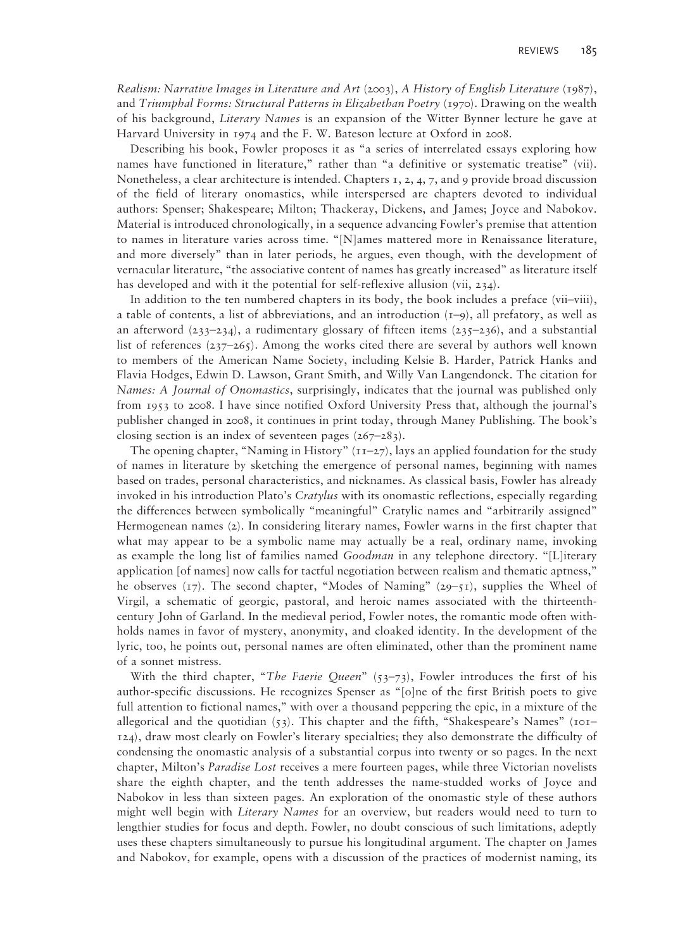*Realism: Narrative Images in Literature and Art* (2003), *A History of English Literature* (1987), and *Triumphal Forms: Structural Patterns in Elizabethan Poetry* (1970). Drawing on the wealth of his background, *Literary Names* is an expansion of the Witter Bynner lecture he gave at Harvard University in 1974 and the F. W. Bateson lecture at Oxford in 2008.

Describing his book, Fowler proposes it as "a series of interrelated essays exploring how names have functioned in literature," rather than "a definitive or systematic treatise" (vii). Nonetheless, a clear architecture is intended. Chapters 1, 2, 4, 7, and 9 provide broad discussion of the field of literary onomastics, while interspersed are chapters devoted to individual authors: Spenser; Shakespeare; Milton; Thackeray, Dickens, and James; Joyce and Nabokov. Material is introduced chronologically, in a sequence advancing Fowler's premise that attention to names in literature varies across time. "[N]ames mattered more in Renaissance literature, and more diversely" than in later periods, he argues, even though, with the development of vernacular literature, "the associative content of names has greatly increased" as literature itself has developed and with it the potential for self-reflexive allusion (vii, 234).

In addition to the ten numbered chapters in its body, the book includes a preface (vii–viii), a table of contents, a list of abbreviations, and an introduction  $(1-9)$ , all prefatory, as well as an afterword (233–234), a rudimentary glossary of fifteen items (235–236), and a substantial list of references  $(237-265)$ . Among the works cited there are several by authors well known to members of the American Name Society, including Kelsie B. Harder, Patrick Hanks and Flavia Hodges, Edwin D. Lawson, Grant Smith, and Willy Van Langendonck. The citation for *Names: A Journal of Onomastics*, surprisingly, indicates that the journal was published only from 1953 to 2008. I have since notified Oxford University Press that, although the journal's publisher changed in 2008, it continues in print today, through Maney Publishing. The book's closing section is an index of seventeen pages (267–283).

The opening chapter, "Naming in History"  $(TI-27)$ , lays an applied foundation for the study of names in literature by sketching the emergence of personal names, beginning with names based on trades, personal characteristics, and nicknames. As classical basis, Fowler has already invoked in his introduction Plato's *Cratylus* with its onomastic reflections, especially regarding the differences between symbolically "meaningful" Cratylic names and "arbitrarily assigned" Hermogenean names (2). In considering literary names, Fowler warns in the first chapter that what may appear to be a symbolic name may actually be a real, ordinary name, invoking as example the long list of families named *Goodman* in any telephone directory. "[L]iterary application [of names] now calls for tactful negotiation between realism and thematic aptness," he observes  $(\tau_7)$ . The second chapter, "Modes of Naming"  $(29-\tau_1)$ , supplies the Wheel of Virgil, a schematic of georgic, pastoral, and heroic names associated with the thirteenthcentury John of Garland. In the medieval period, Fowler notes, the romantic mode often withholds names in favor of mystery, anonymity, and cloaked identity. In the development of the lyric, too, he points out, personal names are often eliminated, other than the prominent name of a sonnet mistress.

With the third chapter, "*The Faerie Queen*" (53–73), Fowler introduces the first of his author-specific discussions. He recognizes Spenser as "[o]ne of the first British poets to give full attention to fictional names," with over a thousand peppering the epic, in a mixture of the allegorical and the quotidian  $(53)$ . This chapter and the fifth, "Shakespeare's Names" (101– 124), draw most clearly on Fowler's literary specialties; they also demonstrate the difficulty of condensing the onomastic analysis of a substantial corpus into twenty or so pages. In the next chapter, Milton's *Paradise Lost* receives a mere fourteen pages, while three Victorian novelists share the eighth chapter, and the tenth addresses the name-studded works of Joyce and Nabokov in less than sixteen pages. An exploration of the onomastic style of these authors might well begin with *Literary Names* for an overview, but readers would need to turn to lengthier studies for focus and depth. Fowler, no doubt conscious of such limitations, adeptly uses these chapters simultaneously to pursue his longitudinal argument. The chapter on James and Nabokov, for example, opens with a discussion of the practices of modernist naming, its